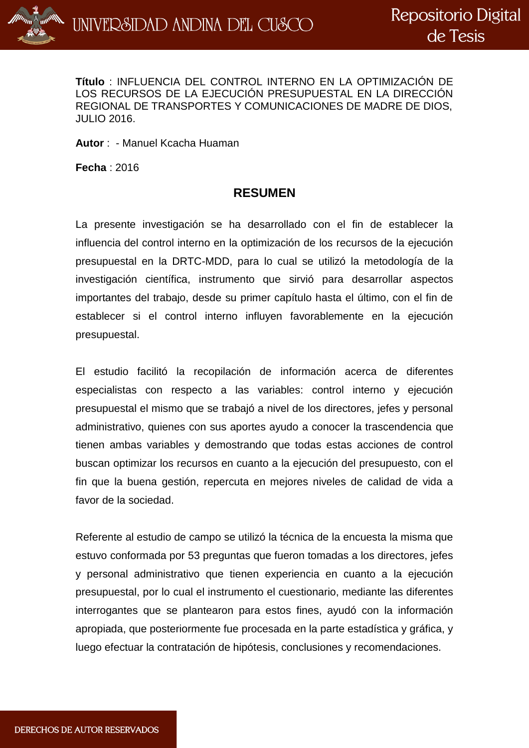

**Título** : INFLUENCIA DEL CONTROL INTERNO EN LA OPTIMIZACIÓN DE LOS RECURSOS DE LA EJECUCIÓN PRESUPUESTAL EN LA DIRECCIÓN REGIONAL DE TRANSPORTES Y COMUNICACIONES DE MADRE DE DIOS, JULIO 2016.

**Autor** : - Manuel Kcacha Huaman

**Fecha** : 2016

## **RESUMEN**

La presente investigación se ha desarrollado con el fin de establecer la influencia del control interno en la optimización de los recursos de la ejecución presupuestal en la DRTC-MDD, para lo cual se utilizó la metodología de la investigación científica, instrumento que sirvió para desarrollar aspectos importantes del trabajo, desde su primer capítulo hasta el último, con el fin de establecer si el control interno influyen favorablemente en la ejecución presupuestal.

El estudio facilitó la recopilación de información acerca de diferentes especialistas con respecto a las variables: control interno y ejecución presupuestal el mismo que se trabajó a nivel de los directores, jefes y personal administrativo, quienes con sus aportes ayudo a conocer la trascendencia que tienen ambas variables y demostrando que todas estas acciones de control buscan optimizar los recursos en cuanto a la ejecución del presupuesto, con el fin que la buena gestión, repercuta en mejores niveles de calidad de vida a favor de la sociedad.

Referente al estudio de campo se utilizó la técnica de la encuesta la misma que estuvo conformada por 53 preguntas que fueron tomadas a los directores, jefes y personal administrativo que tienen experiencia en cuanto a la ejecución presupuestal, por lo cual el instrumento el cuestionario, mediante las diferentes interrogantes que se plantearon para estos fines, ayudó con la información apropiada, que posteriormente fue procesada en la parte estadística y gráfica, y luego efectuar la contratación de hipótesis, conclusiones y recomendaciones.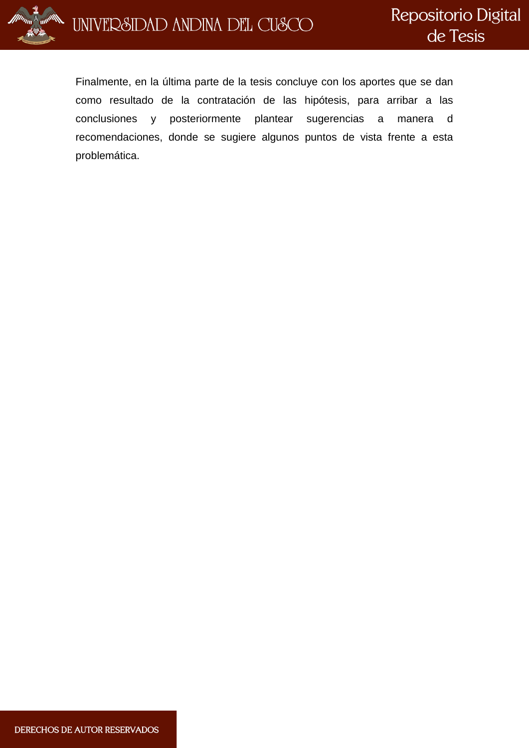

Finalmente, en la última parte de la tesis concluye con los aportes que se dan como resultado de la contratación de las hipótesis, para arribar a las conclusiones y posteriormente plantear sugerencias a manera d recomendaciones, donde se sugiere algunos puntos de vista frente a esta problemática.